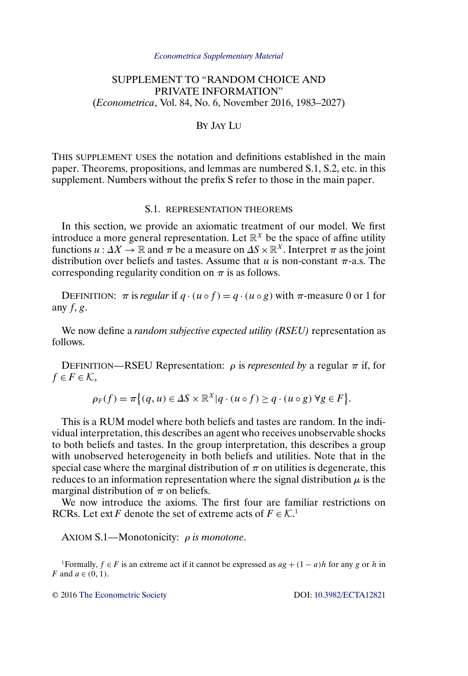#### *[Econometrica Supplementary Material](http://www.econometricsociety.org/suppmatlist.asp)*

# <span id="page-0-0"></span>SUPPLEMENT TO "RANDOM CHOICE AND PRIVATE INFORMATION" (*Econometrica*, Vol. 84, No. 6, November 2016, 1983–2027)

# BY JAY LU

THIS SUPPLEMENT USES the notation and definitions established in the main paper. Theorems, propositions, and lemmas are numbered S.1, S.2, etc. in this supplement. Numbers without the prefix S refer to those in the main paper.

### S.1. REPRESENTATION THEOREMS

In this section, we provide an axiomatic treatment of our model. We first introduce a more general representation. Let  $\mathbb{R}^{X}$  be the space of affine utility functions  $u : \Delta X \to \mathbb{R}$  and  $\pi$  be a measure on  $\Delta S \times \mathbb{R}^X$ . Interpret  $\pi$  as the joint distribution over beliefs and tastes. Assume that  $u$  is non-constant  $\pi$ -a.s. The corresponding regularity condition on  $\pi$  is as follows.

DEFINITION:  $\pi$  is *regular* if  $q \cdot (u \circ f) = q \cdot (u \circ g)$  with  $\pi$ -measure 0 or 1 for any  $f, g$ .

We now define a *random subjective expected utility (RSEU)* representation as follows.

DEFINITION—RSEU Representation:  $ρ$  is *represented by* a regular  $π$  if, for  $f \in F \in \mathcal{K}$ ,

$$
\rho_F(f) = \pi \{(q, u) \in \Delta S \times \mathbb{R}^X | q \cdot (u \circ f) \ge q \cdot (u \circ g) \,\forall g \in F\}.
$$

This is a RUM model where both beliefs and tastes are random. In the individual interpretation, this describes an agent who receives unobservable shocks to both beliefs and tastes. In the group interpretation, this describes a group with unobserved heterogeneity in both beliefs and utilities. Note that in the special case where the marginal distribution of  $\pi$  on utilities is degenerate, this reduces to an information representation where the signal distribution  $\mu$  is the marginal distribution of  $\pi$  on beliefs.

We now introduce the axioms. The first four are familiar restrictions on RCRs. Let ext F denote the set of extreme acts of  $F \in \mathcal{K}^1$ .

AXIOM S.1—Monotonicity: ρ *is monotone*.

<sup>1</sup>Formally,  $f \in F$  is an extreme act if it cannot be expressed as  $ag + (1 - a)h$  for any g or h in F and  $a \in (0, 1)$ .

© 2016 [The Econometric Society](http://www.econometricsociety.org/) DOI: [10.3982/ECTA12821](http://dx.doi.org/10.3982/ECTA12821)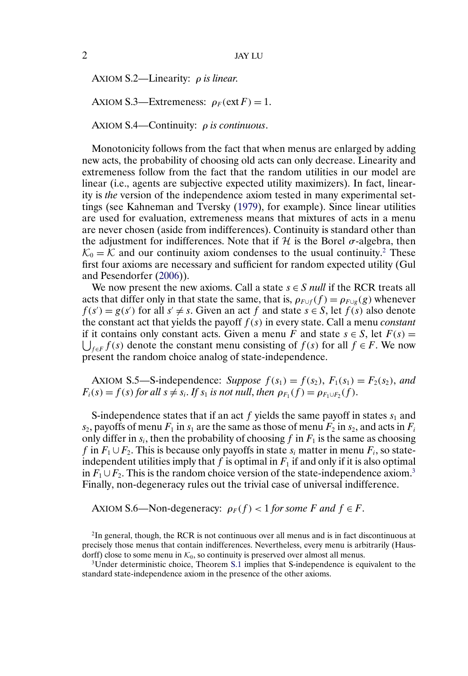<span id="page-1-0"></span>AXIOM S.2—Linearity: ρ *is linear*.

AXIOM S.3—Extremeness:  $\rho_F(\text{ext } F) = 1$ .

AXIOM S.4—Continuity: ρ *is continuous*.

Monotonicity follows from the fact that when menus are enlarged by adding new acts, the probability of choosing old acts can only decrease. Linearity and extremeness follow from the fact that the random utilities in our model are linear (i.e., agents are subjective expected utility maximizers). In fact, linearity is *the* version of the independence axiom tested in many experimental settings (see Kahneman and Tversky [\(1979\)](#page-20-0), for example). Since linear utilities are used for evaluation, extremeness means that mixtures of acts in a menu are never chosen (aside from indifferences). Continuity is standard other than the adjustment for indifferences. Note that if  $\mathcal H$  is the Borel  $\sigma$ -algebra, then  $\mathcal{K}_0 = \mathcal{K}$  and our continuity axiom condenses to the usual continuity.<sup>2</sup> These first four axioms are necessary and sufficient for random expected utility (Gul and Pesendorfer [\(2006\)](#page-20-0)).

We now present the new axioms. Call a state  $s \in S$  *null* if the RCR treats all acts that differ only in that state the same, that is,  $\rho_{F \cup f}(f) = \rho_{F \cup g}(g)$  whenever  $f(s') = g(s')$  for all  $s' \neq s$ . Given an act f and state  $s \in S$ , let  $f(s)$  also denote the constant act that yields the payoff  $f(s)$  in every state. Call a menu *constant*  $\bigcup_{f\in F} f(s)$  denote the constant menu consisting of  $f(s)$  for all  $f \in F$ . We now if it contains only constant acts. Given a menu F and state  $s \in S$ , let  $F(s) =$ present the random choice analog of state-independence.

AXIOM S.5—S-independence: *Suppose*  $f(s_1) = f(s_2)$ ,  $F_1(s_1) = F_2(s_2)$ , and  $F_i(s) = f(s)$  *for all*  $s \neq s_i$ . *If*  $s_1$  *is not null, then*  $\rho_{F_1}(f) = \rho_{F_1 \cup F_2}(f)$ .

S-independence states that if an act f yields the same payoff in states  $s_1$  and  $s_2$ , payoffs of menu  $F_1$  in  $s_1$  are the same as those of menu  $F_2$  in  $s_2$ , and acts in  $F_i$ only differ in  $s_i$ , then the probability of choosing f in  $F_1$  is the same as choosing f in  $F_1 \cup F_2$ . This is because only payoffs in state  $s_i$  matter in menu  $F_i$ , so stateindependent utilities imply that f is optimal in  $F_1$  if and only if it is also optimal in  $F_1 \cup F_2$ . This is the random choice version of the state-independence axiom.<sup>3</sup> Finally, non-degeneracy rules out the trivial case of universal indifference.

AXIOM S.6—Non-degeneracy:  $\rho_F(f) < 1$  for some F and  $f \in F$ .

<sup>2</sup>In general, though, the RCR is not continuous over all menus and is in fact discontinuous at precisely those menus that contain indifferences. Nevertheless, every menu is arbitrarily (Haus-dorff) close to some menu in  $K_0$ , so continuity is preserved over almost all menus.

 $3$ Under deterministic choice, Theorem [S.1](#page-2-0) implies that S-independence is equivalent to the standard state-independence axiom in the presence of the other axioms.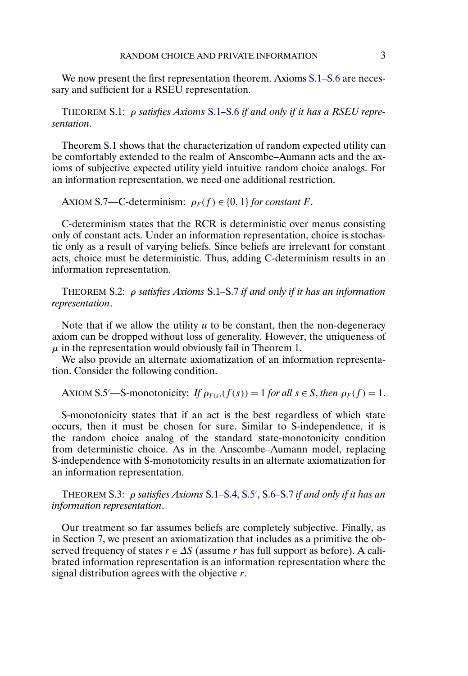<span id="page-2-0"></span>We now present the first representation theorem. Axioms  $S.1-S.6$  $S.1-S.6$  are necessary and sufficient for a RSEU representation.

THEOREM S.1: ρ *satisfies Axioms* [S.1](#page-0-0)*–*[S.6](#page-1-0) *if and only if it has a RSEU representation*.

Theorem S.1 shows that the characterization of random expected utility can be comfortably extended to the realm of Anscombe–Aumann acts and the axioms of subjective expected utility yield intuitive random choice analogs. For an information representation, we need one additional restriction.

AXIOM S.7—C-determinism:  $\rho_F(f) \in \{0, 1\}$  for constant F.

C-determinism states that the RCR is deterministic over menus consisting only of constant acts. Under an information representation, choice is stochastic only as a result of varying beliefs. Since beliefs are irrelevant for constant acts, choice must be deterministic. Thus, adding C-determinism results in an information representation.

THEOREM S.2: ρ *satisfies Axioms* [S.1](#page-0-0)*–*S.7 *if and only if it has an information representation*.

Note that if we allow the utility  $u$  to be constant, then the non-degeneracy axiom can be dropped without loss of generality. However, the uniqueness of  $\mu$  in the representation would obviously fail in Theorem 1.

We also provide an alternate axiomatization of an information representation. Consider the following condition.

AXIOM S.5'—S-monotonicity: *If*  $\rho_{F(s)}(f(s)) = 1$  *for all*  $s \in S$ *, then*  $\rho_F(f) = 1$ *.* 

S-monotonicity states that if an act is the best regardless of which state occurs, then it must be chosen for sure. Similar to S-independence, it is the random choice analog of the standard state-monotonicity condition from deterministic choice. As in the Anscombe–Aumann model, replacing S-independence with S-monotonicity results in an alternate axiomatization for an information representation.

THEOREM S.3: ρ *satisfies Axioms* [S.1](#page-0-0)*–*[S.4,](#page-1-0) S.5 , [S.6](#page-1-0)*–*S.7 *if and only if it has an information representation*.

Our treatment so far assumes beliefs are completely subjective. Finally, as in Section 7, we present an axiomatization that includes as a primitive the observed frequency of states  $r \in \Delta S$  (assume r has full support as before). A calibrated information representation is an information representation where the signal distribution agrees with the objective  $r$ .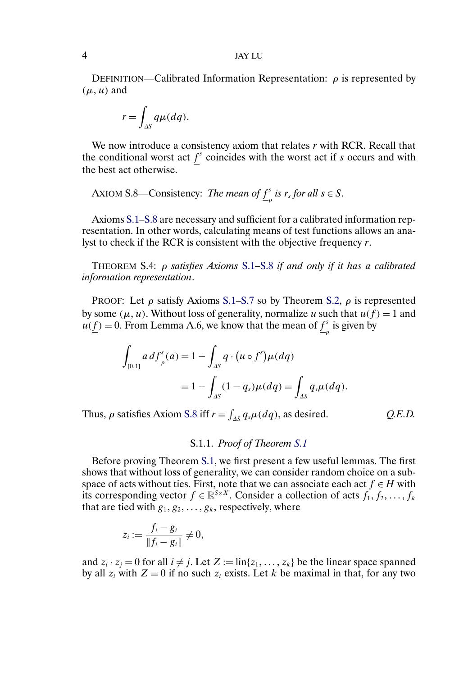DEFINITION—Calibrated Information Representation:  $\rho$  is represented by  $(\mu, u)$  and

$$
r = \int_{\Delta S} q \mu(dq).
$$

We now introduce a consistency axiom that relates  $r$  with RCR. Recall that the conditional worst act  $f^s$  coincides with the worst act if s occurs and with the best act otherwise.

AXIOM S.8—Consistency: *The mean of*  $\underline{f}^s_\rho$  *is r<sub>s</sub>* for all  $s \in S$ .

Axioms [S.1–](#page-0-0)S.8 are necessary and sufficient for a calibrated information representation. In other words, calculating means of test functions allows an analyst to check if the RCR is consistent with the objective frequency r.

THEOREM S.4: ρ *satisfies Axioms* [S.1](#page-0-0)*–*S.8 *if and only if it has a calibrated information representation*.

PROOF: Let  $\rho$  satisfy Axioms [S.1](#page-0-0)[–S.7](#page-2-0) so by Theorem [S.2,](#page-2-0)  $\rho$  is represented by some ( $\mu$ ,  $u$ ). Without loss of generality, normalize u such that  $u(f) = 1$  and  $u(\underline{f}) = 0$ . From Lemma A.6, we know that the mean of  $\underline{f}^s$  is given by

$$
\int_{[0,1]} a d\underline{f}^s_{\rho}(a) = 1 - \int_{\Delta S} q \cdot (u \circ \underline{f}^s) \mu(dq)
$$

$$
= 1 - \int_{\Delta S} (1 - q_s) \mu(dq) = \int_{\Delta S} q_s \mu(dq).
$$

Thus,  $\rho$  satisfies Axiom S.8 iff  $r = \int_{\Delta S} q_s \mu(dq)$ , as desired.  $Q.E.D.$ 

$$
Q.E.D.
$$

# S.1.1. *Proof of Theorem [S.1](#page-2-0)*

Before proving Theorem [S.1,](#page-2-0) we first present a few useful lemmas. The first shows that without loss of generality, we can consider random choice on a subspace of acts without ties. First, note that we can associate each act  $f \in H$  with its corresponding vector  $f \in \mathbb{R}^{S \times X}$ . Consider a collection of acts  $f_1, f_2, \ldots, f_k$ that are tied with  $g_1, g_2, \ldots, g_k$ , respectively, where

$$
z_i := \frac{f_i - g_i}{\|f_i - g_i\|} \neq 0,
$$

and  $z_i \cdot z_j = 0$  for all  $i \neq j$ . Let  $Z := \text{lin}\{z_1, \ldots, z_k\}$  be the linear space spanned by all  $z_i$  with  $Z = 0$  if no such  $z_i$  exists. Let k be maximal in that, for any two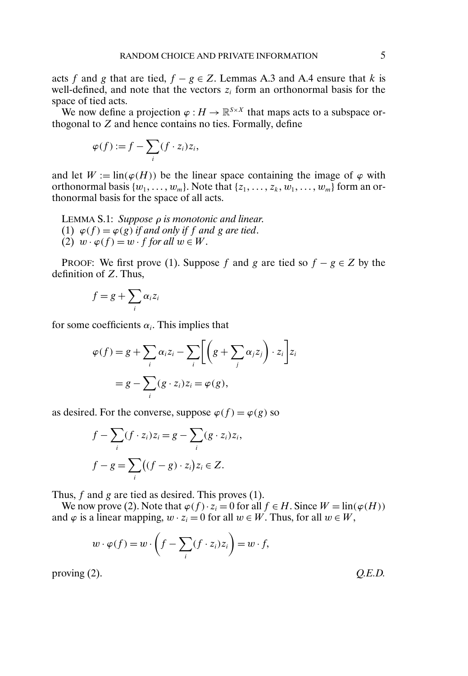<span id="page-4-0"></span>acts f and g that are tied,  $f - g \in Z$ . Lemmas A.3 and A.4 ensure that k is well-defined, and note that the vectors  $z_i$  form an orthonormal basis for the space of tied acts.

We now define a projection  $\varphi : H \to \mathbb{R}^{S \times X}$  that maps acts to a subspace orthogonal to Z and hence contains no ties. Formally, define

$$
\varphi(f) := f - \sum_i (f \cdot z_i) z_i,
$$

and let  $W := \text{lin}(\varphi(H))$  be the linear space containing the image of  $\varphi$  with orthonormal basis  $\{w_1, \ldots, w_m\}$ . Note that  $\{z_1, \ldots, z_k, w_1, \ldots, w_m\}$  form an orthonormal basis for the space of all acts.

LEMMA S.1: *Suppose* ρ *is monotonic and linear*. (1)  $\varphi(f) = \varphi(g)$  *if and only if f and g are tied.* (2)  $w \cdot \varphi(f) = w \cdot f$  *for all*  $w \in W$ .

PROOF: We first prove (1). Suppose f and g are tied so  $f - g \in Z$  by the definition of  $Z$ . Thus,

$$
f = g + \sum_i \alpha_i z_i
$$

for some coefficients  $\alpha_i$ . This implies that

$$
\varphi(f) = g + \sum_{i} \alpha_{i} z_{i} - \sum_{i} \left[ \left( g + \sum_{j} \alpha_{j} z_{j} \right) \cdot z_{i} \right] z_{i}
$$

$$
= g - \sum_{i} (g \cdot z_{i}) z_{i} = \varphi(g),
$$

as desired. For the converse, suppose  $\varphi(f) = \varphi(g)$  so

$$
f - \sum_{i} (f \cdot z_i) z_i = g - \sum_{i} (g \cdot z_i) z_i,
$$
  

$$
f - g = \sum_{i} ((f - g) \cdot z_i) z_i \in Z.
$$

Thus, f and g are tied as desired. This proves (1).

We now prove (2). Note that  $\varphi(f) \cdot z_i = 0$  for all  $f \in H$ . Since  $W = \text{lin}(\varphi(H))$ and  $\varphi$  is a linear mapping,  $w \cdot z_i = 0$  for all  $w \in W$ . Thus, for all  $w \in W$ ,

$$
w \cdot \varphi(f) = w \cdot \left(f - \sum_i (f \cdot z_i) z_i\right) = w \cdot f,
$$

proving (2).  $Q.E.D.$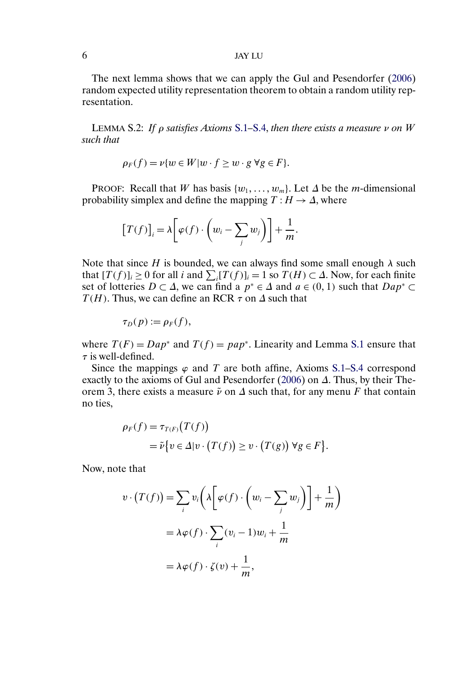## <span id="page-5-0"></span>6 JAY LU

The next lemma shows that we can apply the Gul and Pesendorfer [\(2006\)](#page-20-0) random expected utility representation theorem to obtain a random utility representation.

LEMMA S.2: *If* ρ *satisfies Axioms* [S.1](#page-0-0)*–*[S.4,](#page-1-0) *then there exists a measure* ν *on* W *such that*

$$
\rho_F(f) = \nu \{ w \in W | w \cdot f \ge w \cdot g \ \forall g \in F \}.
$$

PROOF: Recall that W has basis  $\{w_1, \ldots, w_m\}$ . Let  $\Delta$  be the m-dimensional probability simplex and define the mapping  $T : H \to \Delta$ , where

$$
[T(f)]_i = \lambda \bigg[ \varphi(f) \cdot \bigg( w_i - \sum_j w_j \bigg) \bigg] + \frac{1}{m}.
$$

Note that since H is bounded, we can always find some small enough  $\lambda$  such that  $[T(f)]_i \ge 0$  for all *i* and  $\sum_i [T(f)]_i = 1$  so  $T(H) \subset \Delta$ . Now, for each finite set of lotteries  $D \subset \Delta$ , we can find a  $p^* \in \Delta$  and  $a \in (0,1)$  such that  $Dap^* \subset \Delta$  $T(H)$ . Thus, we can define an RCR  $\tau$  on  $\Delta$  such that

$$
\tau_D(p):=\rho_F(f),
$$

where  $T(F) = Dap^*$  and  $T(f) = pap^*$ . Linearity and Lemma [S.1](#page-4-0) ensure that  $\tau$  is well-defined.

Since the mappings  $\varphi$  and T are both affine, Axioms [S.1–](#page-0-0)[S.4](#page-1-0) correspond exactly to the axioms of Gul and Pesendorfer [\(2006\)](#page-20-0) on  $\Delta$ . Thus, by their Theorem 3, there exists a measure  $\tilde{\nu}$  on  $\Delta$  such that, for any menu F that contain no ties,

$$
\rho_F(f) = \tau_{T(F)}(T(f))
$$
  
=  $\tilde{\nu} \{ v \in \Delta | v \cdot (T(f)) \ge v \cdot (T(g)) \ \forall g \in F \}.$ 

Now, note that

$$
v \cdot (T(f)) = \sum_{i} v_i \left( \lambda \left[ \varphi(f) \cdot \left( w_i - \sum_{j} w_j \right) \right] + \frac{1}{m} \right)
$$
  
=  $\lambda \varphi(f) \cdot \sum_{i} (v_i - 1) w_i + \frac{1}{m}$   
=  $\lambda \varphi(f) \cdot \zeta(v) + \frac{1}{m}$ ,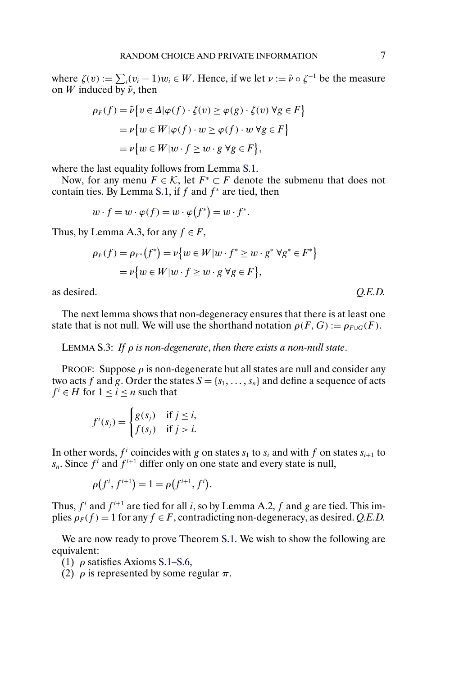<span id="page-6-0"></span>where  $\zeta(v) := \sum_i (v_i - 1)w_i \in W$ . Hence, if we let  $\nu := \tilde{\nu} \circ \zeta^{-1}$  be the measure on W induced by  $\tilde{\nu}$ , then

$$
\rho_F(f) = \tilde{\nu} \{ v \in \Delta | \varphi(f) \cdot \zeta(v) \ge \varphi(g) \cdot \zeta(v) \,\forall g \in F \}
$$

$$
= \nu \{ w \in W | \varphi(f) \cdot w \ge \varphi(f) \cdot w \,\forall g \in F \}
$$

$$
= \nu \{ w \in W | w \cdot f \ge w \cdot g \,\forall g \in F \},
$$

where the last equality follows from Lemma [S.1.](#page-4-0)

Now, for any menu  $F \in \mathcal{K}$ , let  $F^* \subset F$  denote the submenu that does not contain ties. By Lemma [S.1,](#page-4-0) if  $f$  and  $f^*$  are tied, then

$$
w \cdot f = w \cdot \varphi(f) = w \cdot \varphi(f^*) = w \cdot f^*.
$$

Thus, by Lemma A.3, for any  $f \in F$ ,

$$
\rho_F(f) = \rho_{F^*}(f^*) = \nu \{ w \in W | w \cdot f^* \ge w \cdot g^* \forall g^* \in F^* \}
$$
  
=  $\nu \{ w \in W | w \cdot f \ge w \cdot g \forall g \in F \},$ 

as desired. *Q.E.D.*

The next lemma shows that non-degeneracy ensures that there is at least one state that is not null. We will use the shorthand notation  $\rho(F, G) := \rho_{F \cup G}(F)$ .

LEMMA S.3: *If* ρ *is non-degenerate*, *then there exists a non-null state*.

PROOF: Suppose  $\rho$  is non-degenerate but all states are null and consider any two acts f and g. Order the states  $S = \{s_1, \ldots, s_n\}$  and define a sequence of acts  $f^i \in H$  for  $1 \leq i \leq n$  such that

$$
f^i(s_j) = \begin{cases} g(s_j) & \text{if } j \leq i, \\ f(s_j) & \text{if } j > i. \end{cases}
$$

In other words,  $f^i$  coincides with g on states  $s_1$  to  $s_i$  and with f on states  $s_{i+1}$  to  $s_n$ . Since  $f^i$  and  $f^{i+1}$  differ only on one state and every state is null,

$$
\rho(f^{i}, f^{i+1}) = 1 = \rho(f^{i+1}, f^{i}).
$$

Thus,  $f^i$  and  $f^{i+1}$  are tied for all i, so by Lemma A.2, f and g are tied. This implies  $\rho_F(f) = 1$  for any  $f \in F$ , contradicting non-degeneracy, as desired. *Q.E.D.* 

We are now ready to prove Theorem [S.1.](#page-2-0) We wish to show the following are equivalent:

(1)  $\rho$  satisfies Axioms [S.1](#page-0-0)[–S.6,](#page-1-0)

(2)  $\rho$  is represented by some regular  $\pi$ .

$$
O.E.D.
$$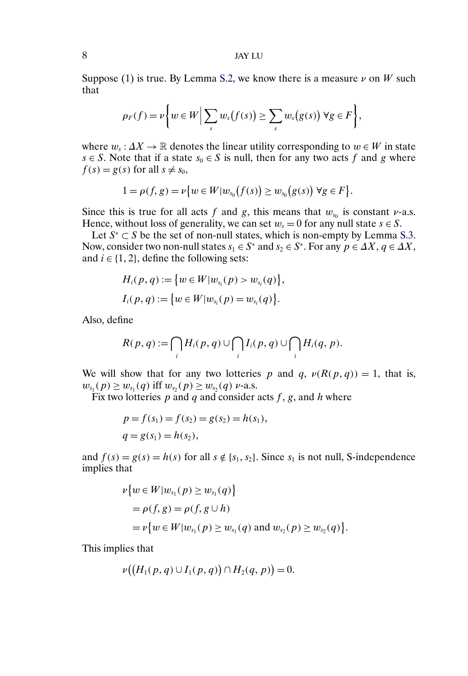Suppose (1) is true. By Lemma [S.2,](#page-5-0) we know there is a measure  $\nu$  on W such that

$$
\rho_F(f) = \nu \bigg\{ w \in W \Big| \sum_s w_s\big(f(s)\big) \geq \sum_s w_s\big(g(s)\big) \ \forall g \in F \bigg\},\
$$

where  $w_s: \Delta X \to \mathbb{R}$  denotes the linear utility corresponding to  $w \in W$  in state  $s \in S$ . Note that if a state  $s_0 \in S$  is null, then for any two acts f and g where  $f(s) = g(s)$  for all  $s \neq s_0$ ,

$$
1 = \rho(f, g) = \nu \{ w \in W | w_{s_0}(f(s)) \ge w_{s_0}(g(s)) \ \forall g \in F \}.
$$

Since this is true for all acts f and g, this means that  $w_{s_0}$  is constant  $\nu$ -a.s. Hence, without loss of generality, we can set  $w_s = 0$  for any null state  $s \in S$ .

Let  $S^* \subset S$  be the set of non-null states, which is non-empty by Lemma [S.3.](#page-6-0) Now, consider two non-null states  $s_1 \in S^*$  and  $s_2 \in S^*$ . For any  $p \in \Delta X$ ,  $q \in \Delta X$ , and  $i \in \{1, 2\}$ , define the following sets:

$$
H_i(p,q) := \{w \in W | w_{s_i}(p) > w_{s_i}(q) \},\,
$$
  

$$
I_i(p,q) := \{w \in W | w_{s_i}(p) = w_{s_i}(q) \}.
$$

Also, define

$$
R(p,q):=\bigcap_i H_i(p,q)\cup\bigcap_i I_i(p,q)\cup\bigcap_i H_i(q,p).
$$

We will show that for any two lotteries p and q,  $\nu(R(p,q)) = 1$ , that is,  $w_{s_1}(p) \geq w_{s_1}(q)$  iff  $w_{s_2}(p) \geq w_{s_2}(q)$  v-a.s.

Fix two lotteries  $p$  and  $q$  and consider acts  $f$ ,  $g$ , and  $h$  where

$$
p = f(s_1) = f(s_2) = g(s_2) = h(s_1),
$$
  
\n
$$
q = g(s_1) = h(s_2),
$$

and  $f(s) = g(s) = h(s)$  for all  $s \notin \{s_1, s_2\}$ . Since  $s_1$  is not null, S-independence implies that

$$
\nu\{w \in W | w_{s_1}(p) \ge w_{s_1}(q) \}
$$
  
=  $\rho(f, g) = \rho(f, g \cup h)$   
=  $\nu\{w \in W | w_{s_1}(p) \ge w_{s_1}(q) \text{ and } w_{s_2}(p) \ge w_{s_2}(q) \}.$ 

This implies that

$$
\nu((H_1(p,q) \cup I_1(p,q)) \cap H_2(q,p)) = 0.
$$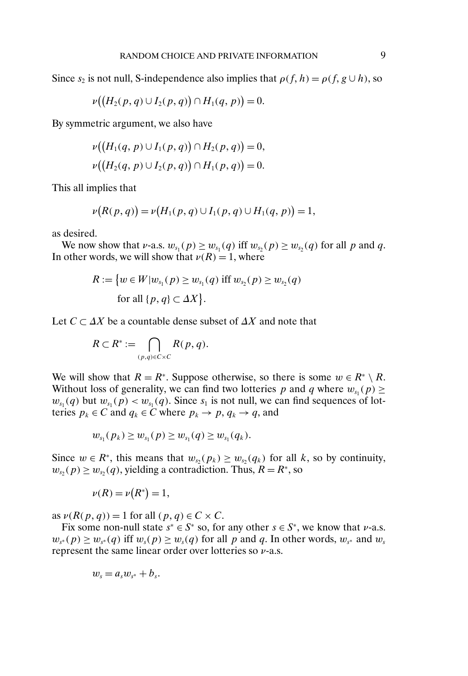Since  $s_2$  is not null, S-independence also implies that  $\rho(f, h) = \rho(f, g \cup h)$ , so

$$
\nu((H_2(p,q) \cup I_2(p,q)) \cap H_1(q,p)) = 0.
$$

By symmetric argument, we also have

$$
\nu((H_1(q, p) \cup I_1(p, q)) \cap H_2(p, q)) = 0,
$$
  

$$
\nu((H_2(q, p) \cup I_2(p, q)) \cap H_1(p, q)) = 0.
$$

This all implies that

$$
\nu(R(p,q)) = \nu(H_1(p,q) \cup I_1(p,q) \cup H_1(q,p)) = 1,
$$

as desired.

We now show that *v*-a.s.  $w_{s_1}(p) \geq w_{s_1}(q)$  iff  $w_{s_2}(p) \geq w_{s_2}(q)$  for all *p* and *q*. In other words, we will show that  $\nu(R) = 1$ , where

$$
R := \{ w \in W | w_{s_1}(p) \ge w_{s_1}(q) \text{ iff } w_{s_2}(p) \ge w_{s_2}(q) \text{ for all } \{p, q\} \subset \Delta X \}.
$$

Let  $C \subset \Delta X$  be a countable dense subset of  $\Delta X$  and note that

$$
R \subset R^* := \bigcap_{(p,q)\in C \times C} R(p,q).
$$

We will show that  $R = R^*$ . Suppose otherwise, so there is some  $w \in R^* \setminus R$ . Without loss of generality, we can find two lotteries p and q where  $w_{s_1}(p) \geq$  $w_{s_1}(q)$  but  $w_{s_1}(p) < w_{s_1}(q)$ . Since  $s_1$  is not null, we can find sequences of lotteries  $p_k \in C$  and  $q_k \in C$  where  $p_k \to p$ ,  $q_k \to q$ , and

$$
w_{s_1}(p_k) \geq w_{s_1}(p) \geq w_{s_1}(q) \geq w_{s_1}(q_k).
$$

Since  $w \in R^*$ , this means that  $w_{s_2}(p_k) \geq w_{s_2}(q_k)$  for all k, so by continuity,  $w_{s_2}(p) \geq w_{s_2}(q)$ , yielding a contradiction. Thus,  $R = R^*$ , so

$$
\nu(R) = \nu(R^*) = 1,
$$

as  $\nu(R(p,q)) = 1$  for all  $(p,q) \in C \times C$ .

Fix some non-null state  $s^* \in S^*$  so, for any other  $s \in S^*$ , we know that *v*-a.s.  $w_{s^*}(p) \geq w_{s^*}(q)$  iff  $w_s(p) \geq w_s(q)$  for all p and q. In other words,  $w_{s^*}$  and  $w_s$ represent the same linear order over lotteries so  $\nu$ -a.s.

$$
w_s = a_s w_{s^*} + b_s.
$$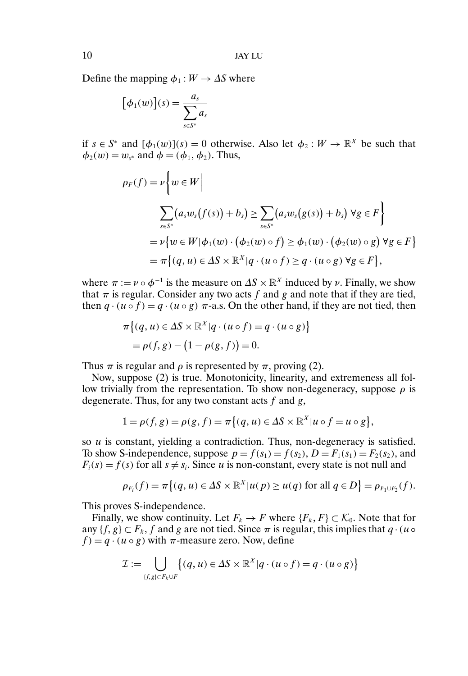Define the mapping  $\phi_1 : W \to \Delta S$  where

$$
[\phi_1(w)](s) = \frac{a_s}{\sum_{s \in S^*} a_s}
$$

if  $s \in S^*$  and  $[\phi_1(w)](s) = 0$  otherwise. Also let  $\phi_2 : W \to \mathbb{R}^X$  be such that  $\phi_2(w) = w_{s^*}$  and  $\phi = (\phi_1, \phi_2)$ . Thus,

$$
\rho_F(f) = \nu \bigg\{ w \in W \bigg\}
$$
  

$$
\sum_{s \in S^*} (a_s w_s(f(s)) + b_s) \ge \sum_{s \in S^*} (a_s w_s(g(s)) + b_s) \forall g \in F \bigg\}
$$
  

$$
= \nu \{ w \in W | \phi_1(w) \cdot (\phi_2(w) \circ f) \ge \phi_1(w) \cdot (\phi_2(w) \circ g) \forall g \in F \}
$$
  

$$
= \pi \{(q, u) \in \Delta S \times \mathbb{R}^X | q \cdot (u \circ f) \ge q \cdot (u \circ g) \forall g \in F \},
$$

where  $\pi := \nu \circ \phi^{-1}$  is the measure on  $\Delta S \times \mathbb{R}^X$  induced by  $\nu$ . Finally, we show that  $\pi$  is regular. Consider any two acts f and g and note that if they are tied, then  $q \cdot (u \circ f) = q \cdot (u \circ g) \pi$ -a.s. On the other hand, if they are not tied, then

$$
\pi\{(q, u) \in \Delta S \times \mathbb{R}^X | q \cdot (u \circ f) = q \cdot (u \circ g)\}
$$

$$
= \rho(f, g) - (1 - \rho(g, f)) = 0.
$$

Thus  $\pi$  is regular and  $\rho$  is represented by  $\pi$ , proving (2).

Now, suppose (2) is true. Monotonicity, linearity, and extremeness all follow trivially from the representation. To show non-degeneracy, suppose  $\rho$  is degenerate. Thus, for any two constant acts  $f$  and  $g$ ,

$$
1 = \rho(f, g) = \rho(g, f) = \pi\{(q, u) \in \Delta S \times \mathbb{R}^X | u \circ f = u \circ g\},
$$

so u is constant, yielding a contradiction. Thus, non-degeneracy is satisfied. To show S-independence, suppose  $p = f(s_1) = f(s_2)$ ,  $D = F_1(s_1) = F_2(s_2)$ , and  $F_i(s) = f(s)$  for all  $s \neq s_i$ . Since u is non-constant, every state is not null and

$$
\rho_{F_i}(f) = \pi\big\{(q, u) \in \Delta S \times \mathbb{R}^X | u(p) \ge u(q) \text{ for all } q \in D\big\} = \rho_{F_1 \cup F_2}(f).
$$

This proves S-independence.

Finally, we show continuity. Let  $F_k \to F$  where  $\{F_k, F\} \subset \mathcal{K}_0$ . Note that for any  $\{f, g\} \subset F_k$ , f and g are not tied. Since  $\pi$  is regular, this implies that  $q \cdot (u \circ$  $f$  =  $q \cdot (u \circ g)$  with  $\pi$ -measure zero. Now, define

$$
\mathcal{I} := \bigcup_{\{f,g\} \subset F_k \cup F} \{ (q, u) \in \Delta S \times \mathbb{R}^X | q \cdot (u \circ f) = q \cdot (u \circ g) \}
$$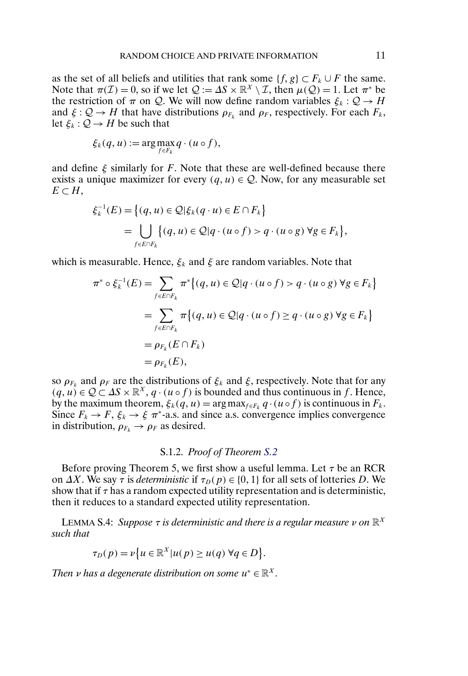<span id="page-10-0"></span>as the set of all beliefs and utilities that rank some  $\{f, g\} \subset F_k \cup F$  the same. Note that  $\pi(\mathcal{I}) = 0$ , so if we let  $\mathcal{Q} := \Delta S \times \mathbb{R}^X \setminus \mathcal{I}$ , then  $\mu(\mathcal{Q}) = 1$ . Let  $\pi^*$  be the restriction of  $\pi$  on Q. We will now define random variables  $\xi_k$ :  $\mathcal{Q} \to H$ and  $\xi: \mathcal{Q} \to H$  that have distributions  $\rho_{F_k}$  and  $\rho_F$ , respectively. For each  $F_k$ , let  $\xi_k$  :  $\mathcal{Q} \to H$  be such that

$$
\xi_k(q, u) := \arg \max_{f \in F_k} q \cdot (u \circ f),
$$

and define  $\xi$  similarly for F. Note that these are well-defined because there exists a unique maximizer for every  $(q, u) \in \mathcal{Q}$ . Now, for any measurable set  $E \subset H$ ,

$$
\xi_k^{-1}(E) = \{(q, u) \in \mathcal{Q} | \xi_k(q \cdot u) \in E \cap F_k \}
$$
  
= 
$$
\bigcup_{f \in E \cap F_k} \{(q, u) \in \mathcal{Q} | q \cdot (u \circ f) > q \cdot (u \circ g) \forall g \in F_k \},
$$

which is measurable. Hence,  $\xi_k$  and  $\xi$  are random variables. Note that

$$
\pi^* \circ \xi_k^{-1}(E) = \sum_{f \in E \cap F_k} \pi^* \{(q, u) \in \mathcal{Q} | q \cdot (u \circ f) > q \cdot (u \circ g) \, \forall g \in F_k \}
$$
\n
$$
= \sum_{f \in E \cap F_k} \pi \{(q, u) \in \mathcal{Q} | q \cdot (u \circ f) \ge q \cdot (u \circ g) \, \forall g \in F_k \}
$$
\n
$$
= \rho_{F_k}(E \cap F_k)
$$
\n
$$
= \rho_{F_k}(E),
$$

so  $\rho_{F_k}$  and  $\rho_F$  are the distributions of  $\xi_k$  and  $\xi$ , respectively. Note that for any  $(q, u) \in \mathcal{Q} \subset \Delta S \times \mathbb{R}^X$ ,  $q \cdot (u \circ f)$  is bounded and thus continuous in f. Hence, by the maximum theorem,  $\xi_k(q, u) = \arg \max_{f \in F_k} q \cdot (u \circ f)$  is continuous in  $F_k$ . Since  $F_k \to F$ ,  $\xi_k \to \xi \pi^*$ -a.s. and since a.s. convergence implies convergence in distribution,  $\rho_{F_k} \rightarrow \rho_F$  as desired.

## S.1.2. *Proof of Theorem [S.2](#page-2-0)*

Before proving Theorem 5, we first show a useful lemma. Let  $\tau$  be an RCR on  $\Delta X$ . We say  $\tau$  is *deterministic* if  $\tau_D(p) \in \{0, 1\}$  for all sets of lotteries D. We show that if  $\tau$  has a random expected utility representation and is deterministic, then it reduces to a standard expected utility representation.

**LEMMA S.4:** *Suppose*  $\tau$  *is deterministic and there is a regular measure*  $\nu$  *on*  $\mathbb{R}^X$ *such that*

$$
\tau_D(p) = \nu \{ u \in \mathbb{R}^X | u(p) \ge u(q) \,\forall q \in D \}.
$$

*Then v has a degenerate distribution on some*  $u^* \in \mathbb{R}^X$ .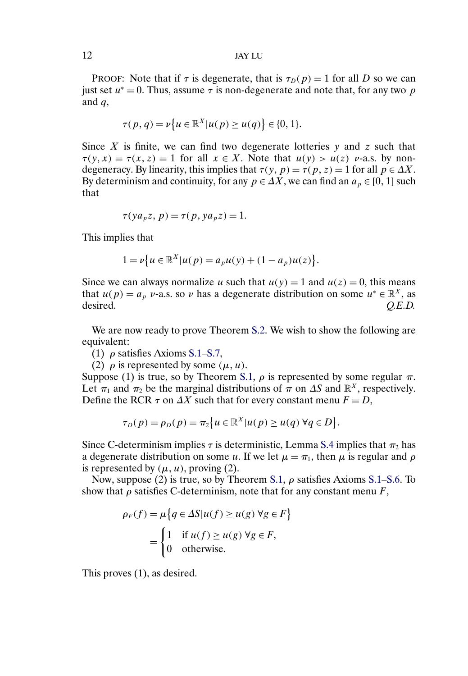PROOF: Note that if  $\tau$  is degenerate, that is  $\tau_D(p) = 1$  for all D so we can just set  $u^* = 0$ . Thus, assume  $\tau$  is non-degenerate and note that, for any two p and  $q$ ,

$$
\tau(p,q) = \nu \{ u \in \mathbb{R}^X | u(p) \ge u(q) \} \in \{0,1\}.
$$

Since  $X$  is finite, we can find two degenerate lotteries  $y$  and  $z$  such that  $\tau(y, x) = \tau(x, z) = 1$  for all  $x \in X$ . Note that  $u(y) > u(z)$  v-a.s. by nondegeneracy. By linearity, this implies that  $\tau(y, p) = \tau(p, z) = 1$  for all  $p \in \Delta X$ . By determinism and continuity, for any  $p \in \Delta X$ , we can find an  $a_p \in [0, 1]$  such that

$$
\tau(ya_p z, p) = \tau(p, ya_p z) = 1.
$$

This implies that

$$
1 = \nu \{ u \in \mathbb{R}^X | u(p) = a_p u(y) + (1 - a_p) u(z) \}.
$$

Since we can always normalize u such that  $u(y) = 1$  and  $u(z) = 0$ , this means that  $u(p) = a_p v$ -a.s. so v has a degenerate distribution on some  $u^* \in \mathbb{R}^X$ , as desired.  $Q.E.D.$ 

We are now ready to prove Theorem [S.2.](#page-2-0) We wish to show the following are equivalent:

(1)  $\rho$  satisfies Axioms [S.1–](#page-0-0)[S.7,](#page-2-0)

(2)  $\rho$  is represented by some  $(\mu, u)$ .

Suppose (1) is true, so by Theorem [S.1,](#page-2-0)  $\rho$  is represented by some regular  $\pi$ . Let  $\pi_1$  and  $\pi_2$  be the marginal distributions of  $\pi$  on  $\Delta S$  and  $\mathbb{R}^X$ , respectively. Define the RCR  $\tau$  on  $\Delta X$  such that for every constant menu  $F = D$ ,

$$
\tau_D(p) = \rho_D(p) = \pi_2 \big\{ u \in \mathbb{R}^X | u(p) \ge u(q) \,\forall q \in D \big\}.
$$

Since C-determinism implies  $\tau$  is deterministic, Lemma [S.4](#page-10-0) implies that  $\pi_2$  has a degenerate distribution on some u. If we let  $\mu = \pi_1$ , then  $\mu$  is regular and  $\rho$ is represented by  $(\mu, u)$ , proving (2).

Now, suppose (2) is true, so by Theorem [S.1,](#page-2-0)  $\rho$  satisfies Axioms [S.1–](#page-0-0)[S.6.](#page-1-0) To show that  $\rho$  satisfies C-determinism, note that for any constant menu  $F$ ,

$$
\rho_F(f) = \mu \{ q \in \Delta S | u(f) \ge u(g) \,\forall g \in F \}
$$

$$
= \begin{cases} 1 & \text{if } u(f) \ge u(g) \,\forall g \in F, \\ 0 & \text{otherwise.} \end{cases}
$$

This proves (1), as desired.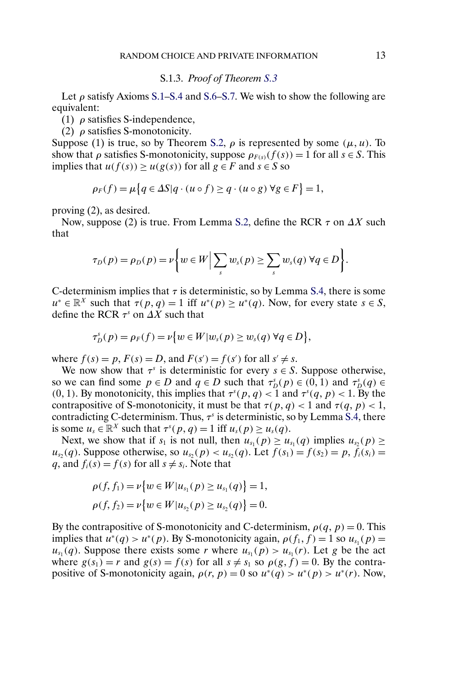## S.1.3. *Proof of Theorem [S.3](#page-2-0)*

Let  $\rho$  satisfy Axioms [S.1](#page-0-0)[–S.4](#page-1-0) and [S.6](#page-1-0)[–S.7.](#page-2-0) We wish to show the following are equivalent:

(1)  $\rho$  satisfies S-independence,

(2)  $\rho$  satisfies S-monotonicity.

Suppose (1) is true, so by Theorem [S.2,](#page-2-0)  $\rho$  is represented by some  $(\mu, u)$ . To show that  $\rho$  satisfies S-monotonicity, suppose  $\rho_{F(s)}(f(s)) = 1$  for all  $s \in S$ . This implies that  $u(f(s)) \ge u(g(s))$  for all  $g \in F$  and  $s \in S$  so

$$
\rho_F(f) = \mu \{ q \in \Delta S | q \cdot (u \circ f) \ge q \cdot (u \circ g) \ \forall g \in F \} = 1,
$$

proving (2), as desired.

Now, suppose (2) is true. From Lemma [S.2,](#page-5-0) define the RCR  $\tau$  on  $\Delta X$  such that

$$
\tau_D(p) = \rho_D(p) = \nu \bigg\{ w \in W \Big| \sum_s w_s(p) \geq \sum_s w_s(q) \ \forall q \in D \bigg\}.
$$

C-determinism implies that  $\tau$  is deterministic, so by Lemma [S.4,](#page-10-0) there is some  $u^* \in \mathbb{R}^X$  such that  $\tau(p, q) = 1$  iff  $u^*(p) > u^*(q)$ . Now, for every state  $s \in S$ , define the RCR  $\tau^s$  on  $\Delta X$  such that

$$
\tau_D^s(p) = \rho_F(f) = \nu \{ w \in W | w_s(p) \ge w_s(q) \ \forall q \in D \},
$$

where  $f(s) = p$ ,  $F(s) = D$ , and  $F(s') = f(s')$  for all  $s' \neq s$ .

We now show that  $\tau^s$  is deterministic for every  $s \in S$ . Suppose otherwise, so we can find some  $p \in D$  and  $q \in D$  such that  $\tau_D^s(p) \in (0,1)$  and  $\tau_D^s(q) \in D$ (0, 1). By monotonicity, this implies that  $\tau^{s}(p,q) < 1$  and  $\tau^{s}(q, p) < 1$ . By the contrapositive of S-monotonicity, it must be that  $\tau(p, q) < 1$  and  $\tau(q, p) < 1$ , contradicting C-determinism. Thus,  $\tau$ <sup>s</sup> is deterministic, so by Lemma [S.4,](#page-10-0) there is some  $u_s \in \mathbb{R}^X$  such that  $\tau^s(p,q) = 1$  iff  $u_s(p) \ge u_s(q)$ .

Next, we show that if  $s_1$  is not null, then  $u_{s_1}(p) \ge u_{s_1}(q)$  implies  $u_{s_2}(p) \ge$  $u_{s_2}(q)$ . Suppose otherwise, so  $u_{s_2}(p) < u_{s_2}(q)$ . Let  $f(s_1) = f(s_2) = p$ ,  $\bar{f}_i(s_i) =$ q, and  $f_i(s) = f(s)$  for all  $s \neq s_i$ . Note that

$$
\rho(f, f_1) = \nu \{ w \in W | u_{s_1}(p) \ge u_{s_1}(q) \} = 1,
$$
  

$$
\rho(f, f_2) = \nu \{ w \in W | u_{s_2}(p) \ge u_{s_2}(q) \} = 0.
$$

By the contrapositive of S-monotonicity and C-determinism,  $\rho(q, p) = 0$ . This implies that  $u^*(q) > u^*(p)$ . By S-monotonicity again,  $\rho(f_1, f) = 1$  so  $u_{s_1}(p) =$  $u_{s_1}(q)$ . Suppose there exists some r where  $u_{s_1}(p) > u_{s_1}(r)$ . Let g be the act where  $g(s_1) = r$  and  $g(s) = f(s)$  for all  $s \neq s_1$  so  $\rho(g, f) = 0$ . By the contrapositive of S-monotonicity again,  $\rho(r, p) = 0$  so  $u^*(q) > u^*(p) > u^*(r)$ . Now,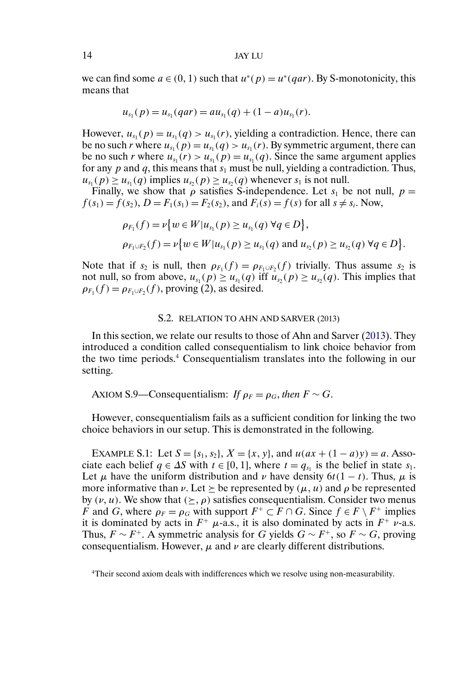# <span id="page-13-0"></span>14 JAY LU

we can find some  $a \in (0, 1)$  such that  $u^*(p) = u^*(qar)$ . By S-monotonicity, this means that

$$
u_{s_1}(p) = u_{s_1}(qar) = au_{s_1}(q) + (1-a)u_{s_1}(r).
$$

However,  $u_{s_1}(p) = u_{s_1}(q) > u_{s_1}(r)$ , yielding a contradiction. Hence, there can be no such r where  $u_{s_1}(p) = u_{s_1}(q) > u_{s_1}(r)$ . By symmetric argument, there can be no such r where  $u_{s_1}(r) > u_{s_1}(p) = u_{s_1}(q)$ . Since the same argument applies for any  $p$  and  $q$ , this means that  $s_1$  must be null, yielding a contradiction. Thus,  $u_{s_1}(p) \geq u_{s_1}(q)$  implies  $u_{s_2}(p) \geq u_{s_2}(q)$  whenever  $s_1$  is not null.

Finally, we show that  $\rho$  satisfies S-independence. Let  $s_1$  be not null,  $p =$  $f(s_1) = f(s_2)$ ,  $D = F_1(s_1) = F_2(s_2)$ , and  $F_i(s) = f(s)$  for all  $s \neq s_i$ . Now,

$$
\rho_{F_1}(f) = \nu \{ w \in W | u_{s_1}(p) \ge u_{s_1}(q) \ \forall q \in D \},
$$
  
\n
$$
\rho_{F_1 \cup F_2}(f) = \nu \{ w \in W | u_{s_1}(p) \ge u_{s_1}(q) \text{ and } u_{s_2}(p) \ge u_{s_2}(q) \ \forall q \in D \}.
$$

Note that if  $s_2$  is null, then  $\rho_{F_1}(f) = \rho_{F_1 \cup F_2}(f)$  trivially. Thus assume  $s_2$  is not null, so from above,  $u_{s_1}(p) \geq u_{s_1}(q)$  iff  $u_{s_2}(p) \geq u_{s_2}(q)$ . This implies that  $\rho_{F_1}(f) = \rho_{F_1 \cup F_2}(f)$ , proving (2), as desired.

#### S.2. RELATION TO AHN AND SARVER (2013)

In this section, we relate our results to those of Ahn and Sarver [\(2013\)](#page-20-0). They introduced a condition called consequentialism to link choice behavior from the two time periods.4 Consequentialism translates into the following in our setting.

AXIOM S.9—Consequentialism: *If*  $\rho_F = \rho_G$ , then  $F \sim G$ .

However, consequentialism fails as a sufficient condition for linking the two choice behaviors in our setup. This is demonstrated in the following.

EXAMPLE S.1: Let  $S = \{s_1, s_2\}, X = \{x, y\}$ , and  $u(ax + (1 - a)y) = a$ . Associate each belief  $q \in \Delta S$  with  $t \in [0, 1]$ , where  $t = q_{s_1}$  is the belief in state  $s_1$ . Let  $\mu$  have the uniform distribution and  $\nu$  have density  $6t(1-t)$ . Thus,  $\mu$  is more informative than  $\nu$ . Let  $\succeq$  be represented by  $(\mu, u)$  and  $\rho$  be represented by  $(\nu, u)$ . We show that  $(\succeq, \rho)$  satisfies consequentialism. Consider two menus F and G, where  $\rho_F = \rho_G$  with support  $F^+ \subset F \cap G$ . Since  $f \in F \setminus F^+$  implies it is dominated by acts in  $F^+$   $\mu$ -a.s., it is also dominated by acts in  $F^+$  v-a.s. Thus,  $F \sim F^+$ . A symmetric analysis for G yields  $G \sim F^+$ , so  $F \sim G$ , proving consequentialism. However,  $\mu$  and  $\nu$  are clearly different distributions.

<sup>4</sup>Their second axiom deals with indifferences which we resolve using non-measurability.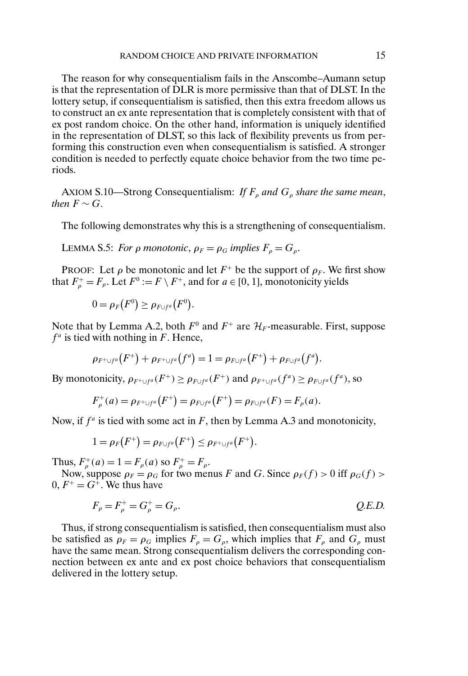The reason for why consequentialism fails in the Anscombe–Aumann setup is that the representation of DLR is more permissive than that of DLST. In the lottery setup, if consequentialism is satisfied, then this extra freedom allows us to construct an ex ante representation that is completely consistent with that of ex post random choice. On the other hand, information is uniquely identified in the representation of DLST, so this lack of flexibility prevents us from performing this construction even when consequentialism is satisfied. A stronger condition is needed to perfectly equate choice behavior from the two time periods.

AXIOM S.10—Strong Consequentialism: *If*  $F_{\rho}$  *and*  $G_{\rho}$  *share the same mean*, *then*  $F \sim G$ .

The following demonstrates why this is a strengthening of consequentialism.

LEMMA S.5: *For*  $\rho$  *monotonic*,  $\rho_F = \rho_G$  *implies*  $F_\rho = G_\rho$ .

PROOF: Let  $\rho$  be monotonic and let  $F^+$  be the support of  $\rho_F$ . We first show that  $F_{\rho}^+ = F_{\rho}$ . Let  $F^0 := F \setminus F^+$ , and for  $a \in [0, 1]$ , monotonicity yields

$$
0 = \rho_F(F^0) \geq \rho_{F \cup f^a}(F^0).
$$

Note that by Lemma A.2, both  $F^0$  and  $F^+$  are  $\mathcal{H}_F$ -measurable. First, suppose  $f<sup>a</sup>$  is tied with nothing in F. Hence,

$$
\rho_{F^+\cup f^a}(F^+)+\rho_{F^+\cup f^a}(f^a)=1=\rho_{F\cup f^a}(F^+)+\rho_{F\cup f^a}(f^a).
$$

By monotonicity,  $\rho_{F^+\cup f^a}(F^+) \ge \rho_{F\cup f^a}(F^+)$  and  $\rho_{F^+\cup f^a}(f^a) \ge \rho_{F\cup f^a}(f^a)$ , so

$$
F_{\rho}^{+}(a) = \rho_{F^{+} \cup f^{a}}(F^{+}) = \rho_{F \cup f^{a}}(F^{+}) = \rho_{F \cup f^{a}}(F) = F_{\rho}(a).
$$

Now, if  $f^a$  is tied with some act in F, then by Lemma A.3 and monotonicity,

$$
1=\rho_F\big(F^+\big)=\rho_{F\cup f^a}\big(F^+\big)\leq \rho_{F^+\cup f^a}\big(F^+\big).
$$

Thus,  $F_{\rho}^+(a) = 1 = F_{\rho}(a)$  so  $F_{\rho}^+ = F_{\rho}$ .

Now, suppose  $\rho_F = \rho_G$  for two menus F and G. Since  $\rho_F(f) > 0$  iff  $\rho_G(f) > 0$  $0, F^+ = G^+$ . We thus have

$$
F_{\rho} = F_{\rho}^{+} = G_{\rho}^{+} = G_{\rho}.
$$
 Q.E.D.

Thus, if strong consequentialism is satisfied, then consequentialism must also be satisfied as  $\rho_F = \rho_G$  implies  $F_\rho = G_\rho$ , which implies that  $F_\rho$  and  $G_\rho$  must have the same mean. Strong consequentialism delivers the corresponding connection between ex ante and ex post choice behaviors that consequentialism delivered in the lottery setup.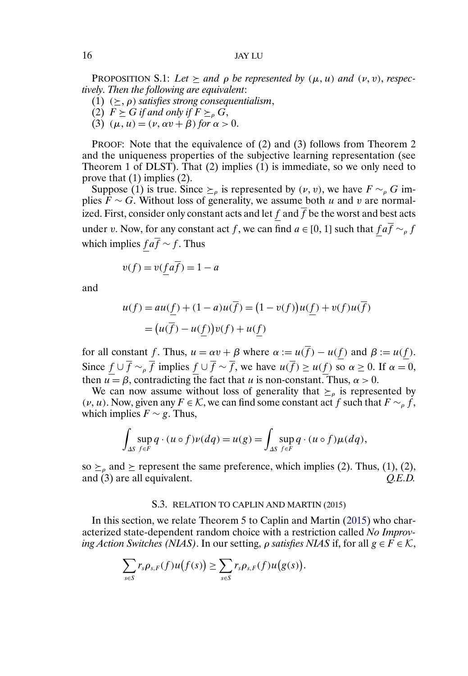PROPOSITION S.1: Let  $\succeq$  and  $\rho$  be represented by  $(\mu, u)$  and  $(\nu, v)$ , respec*tively*. *Then the following are equivalent*:

- (1)  $(\succeq, \rho)$  *satisfies strong consequentialism*,
- (2)  $F \geq G$  *if and only if*  $F \geq_{\rho} G$ ,
- (3)  $(\mu, u) = (\nu, \alpha \nu + \beta)$  *for*  $\alpha > 0$ .

PROOF: Note that the equivalence of (2) and (3) follows from Theorem 2 and the uniqueness properties of the subjective learning representation (see Theorem 1 of DLST). That (2) implies (1) is immediate, so we only need to prove that (1) implies (2).

Suppose (1) is true. Since  $\succeq_{\rho}$  is represented by  $(\nu, \nu)$ , we have  $F \sim_{\rho} G$  implies  $\overrightarrow{F} \sim G$ . Without loss of generality, we assume both u and v are normalized. First, consider only constant acts and let f and  $\overline{f}$  be the worst and best acts under v. Now, for any constant act f, we can find  $a \in [0, 1]$  such that  $f a \overline{f} \sim_{\rho} f$ which implies  $fa\overline{f} \sim f$ . Thus

$$
v(f) = v(fa\overline{f}) = 1 - a
$$

and

$$
u(f) = au(\underline{f}) + (1 - a)u(\overline{f}) = (1 - v(f))u(\underline{f}) + v(f)u(\overline{f})
$$

$$
= (u(\overline{f}) - u(\underline{f}))v(f) + u(\underline{f})
$$

for all constant f. Thus,  $u = \alpha v + \beta$  where  $\alpha := u(\overline{f}) - u(f)$  and  $\beta := u(f)$ . Since  $f \cup \overline{f} \sim_{\rho} \overline{f}$  implies  $f \cup \overline{f} \sim \overline{f}$ , we have  $u(\overline{f}) \geq u(f)$  so  $\alpha \geq 0$ . If  $\alpha = 0$ , then  $u = \beta$ , contradicting the fact that u is non-constant. Thus,  $\alpha > 0$ .

We can now assume without loss of generality that  $\geq_{\rho}$  is represented by  $(v, u)$ . Now, given any  $F \in \mathcal{K}$ , we can find some constant act f such that  $F \sim_{\rho} f$ , which implies  $F \sim g$ . Thus,

$$
\int_{\Delta S} \sup_{f \in F} q \cdot (u \circ f) \nu(dq) = u(g) = \int_{\Delta S} \sup_{f \in F} q \cdot (u \circ f) \mu(dq),
$$

so  $\succeq_{\rho}$  and  $\succeq$  represent the same preference, which implies (2). Thus, (1), (2), and (3) are all equivalent.  $Q.E.D.$ 

### S.3. RELATION TO CAPLIN AND MARTIN (2015)

In this section, we relate Theorem 5 to Caplin and Martin [\(2015\)](#page-20-0) who characterized state-dependent random choice with a restriction called *No Improving Action Switches (NIAS)*. In our setting, *ρ satisfies NIAS* if, for all  $g \in F \in \mathcal{K}$ ,

$$
\sum_{s\in S} r_s \rho_{s,F}(f) u\big(f(s)\big) \geq \sum_{s\in S} r_s \rho_{s,F}(f) u\big(g(s)\big).
$$

<span id="page-15-0"></span>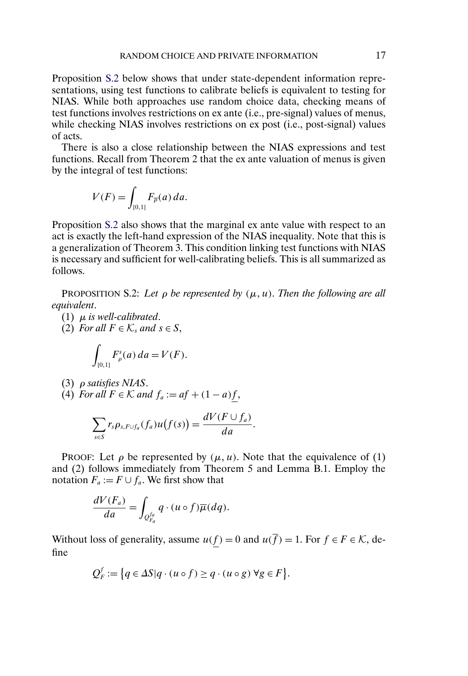Proposition S.2 below shows that under state-dependent information representations, using test functions to calibrate beliefs is equivalent to testing for NIAS. While both approaches use random choice data, checking means of test functions involves restrictions on ex ante (i.e., pre-signal) values of menus, while checking NIAS involves restrictions on ex post (i.e., post-signal) values of acts.

There is also a close relationship between the NIAS expressions and test functions. Recall from Theorem 2 that the ex ante valuation of menus is given by the integral of test functions:

$$
V(F) = \int_{[0,1]} F_{\overline{\rho}}(a) \, da.
$$

Proposition S.2 also shows that the marginal ex ante value with respect to an act is exactly the left-hand expression of the NIAS inequality. Note that this is a generalization of Theorem 3. This condition linking test functions with NIAS is necessary and sufficient for well-calibrating beliefs. This is all summarized as follows.

PROPOSITION S.2: Let  $\rho$  be represented by  $(\mu, u)$ . Then the following are all *equivalent*.

- (1) μ *is well-calibrated*.
- (2) *For all*  $F \in \mathcal{K}_s$  *and*  $s \in S$ ,

$$
\int_{[0,1]} F_{\rho}^{s}(a) \, da = V(F).
$$

- (3) ρ *satisfies NIAS*.
- (4) For all  $F \in \mathcal{K}$  and  $f_a := af + (1 a)f$ ,

$$
\sum_{s\in S}r_s \rho_{s,F\cup f_a}(f_a)u\big(f(s)\big)=\frac{dV(F\cup f_a)}{da}.
$$

PROOF: Let  $\rho$  be represented by  $(\mu, u)$ . Note that the equivalence of (1) and (2) follows immediately from Theorem 5 and Lemma B.1. Employ the notation  $F_a := F \cup f_a$ . We first show that

$$
\frac{dV(F_a)}{da} = \int_{Q_{F_a}^{fa}} q \cdot (u \circ f) \overline{\mu}(dq).
$$

Without loss of generality, assume  $u(\underline{f}) = 0$  and  $u(\overline{f}) = 1$ . For  $f \in F \in \mathcal{K}$ , define

$$
Q_F^f := \{ q \in \Delta S | q \cdot (u \circ f) \ge q \cdot (u \circ g) \ \forall g \in F \}.
$$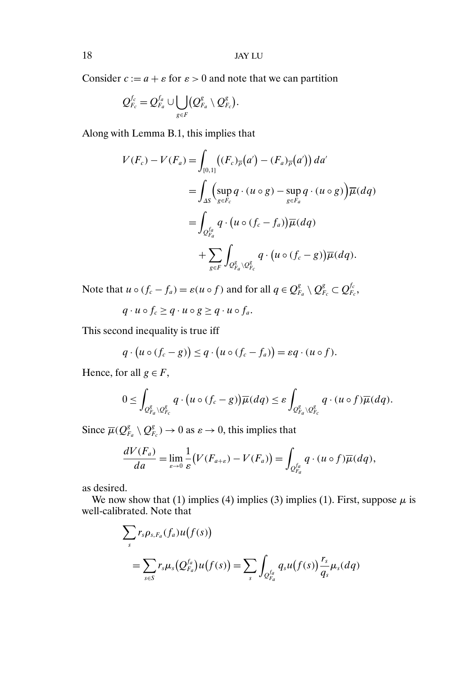Consider  $c := a + \varepsilon$  for  $\varepsilon > 0$  and note that we can partition

$$
Q_{F_c}^{f_c} = Q_{F_a}^{f_a} \cup \bigcup_{g \in F} (Q_{F_a}^g \setminus Q_{F_c}^g).
$$

Along with Lemma B.1, this implies that

$$
V(F_c) - V(F_a) = \int_{[0,1]} ((F_c)_{\overline{\rho}}(a') - (F_a)_{\overline{\rho}}(a')) da'
$$
  
= 
$$
\int_{\Delta S} \left( \sup_{g \in F_c} q \cdot (u \circ g) - \sup_{g \in F_a} q \cdot (u \circ g) \right) \overline{\mu}(dq)
$$
  
= 
$$
\int_{Q_{F_a}^{fa}} q \cdot (u \circ (f_c - f_a)) \overline{\mu}(dq)
$$
  
+ 
$$
\sum_{g \in F} \int_{Q_{F_a}^g \setminus Q_{F_c}^g} q \cdot (u \circ (f_c - g)) \overline{\mu}(dq).
$$

Note that  $u \circ (f_c - f_a) = \varepsilon (u \circ f)$  and for all  $q \in \mathcal{Q}_{F_a}^g \setminus \mathcal{Q}_{F_c}^g \subset \mathcal{Q}_{F_c}^{f_c}$ ,

$$
q \cdot u \circ f_c \ge q \cdot u \circ g \ge q \cdot u \circ f_a.
$$

This second inequality is true iff

$$
q \cdot (u \circ (f_c - g)) \leq q \cdot (u \circ (f_c - f_a)) = \varepsilon q \cdot (u \circ f).
$$

Hence, for all  $g \in F$ ,

$$
0\leq \int_{\mathcal{Q}_{F_a}^g\setminus\mathcal{Q}_{F_c}^g} q\cdot (u\circ (f_c-g))\overline{\mu}(dq)\leq \varepsilon \int_{\mathcal{Q}_{F_a}^g\setminus\mathcal{Q}_{F_c}^g} q\cdot (u\circ f)\overline{\mu}(dq).
$$

Since  $\overline{\mu}(Q_{F_a}^g \setminus Q_{F_c}^g) \to 0$  as  $\varepsilon \to 0$ , this implies that

$$
\frac{dV(F_a)}{da} = \lim_{\varepsilon \to 0} \frac{1}{\varepsilon} \big( V(F_{a+\varepsilon}) - V(F_a) \big) = \int_{\mathcal{Q}_{F_a}^{fa}} q \cdot (u \circ f) \overline{\mu}(dq),
$$

as desired.

We now show that (1) implies (4) implies (3) implies (1). First, suppose  $\mu$  is well-calibrated. Note that

$$
\sum_{s} r_s \rho_{s,F_a}(f_a) u(f(s))
$$
  
= 
$$
\sum_{s \in S} r_s \mu_s(Q_{F_a}^{f_a}) u(f(s)) = \sum_{s} \int_{Q_{F_a}^{f_a}} q_s u(f(s)) \frac{r_s}{q_s} \mu_s(dq)
$$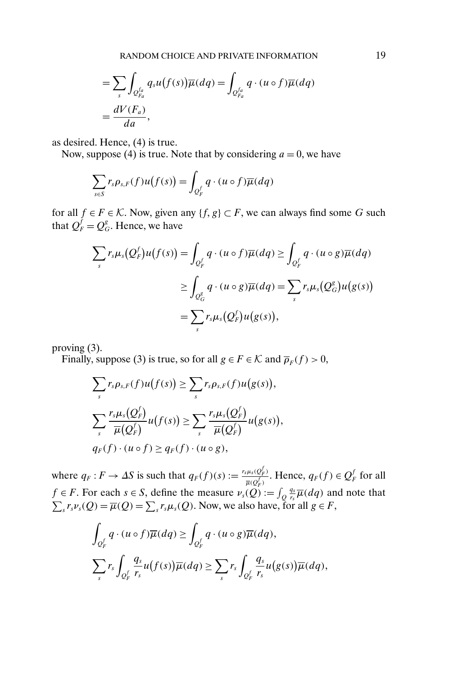$$
= \sum_{s} \int_{Q_{r_a}^{fa}} q_s u(f(s)) \overline{\mu}(dq) = \int_{Q_{r_a}^{fa}} q \cdot (u \circ f) \overline{\mu}(dq)
$$

$$
= \frac{dV(F_a)}{da},
$$

as desired. Hence, (4) is true.

Now, suppose (4) is true. Note that by considering  $a = 0$ , we have

$$
\sum_{s\in S} r_s \rho_{s,F}(f) u(f(s)) = \int_{Q_F^f} q \cdot (u \circ f) \overline{\mu}(dq)
$$

for all  $f \in F \in \mathcal{K}$ . Now, given any  $\{f, g\} \subset F$ , we can always find some G such that  $Q_F^f = Q_G^g$ . Hence, we have

$$
\sum_{s} r_{s} \mu_{s}(Q_{F}^{f}) u(f(s)) = \int_{Q_{F}^{f}} q \cdot (u \circ f) \overline{\mu}(dq) \ge \int_{Q_{F}^{f}} q \cdot (u \circ g) \overline{\mu}(dq)
$$

$$
\ge \int_{Q_{G}^{g}} q \cdot (u \circ g) \overline{\mu}(dq) = \sum_{s} r_{s} \mu_{s}(Q_{G}^{g}) u(g(s))
$$

$$
= \sum_{s} r_{s} \mu_{s}(Q_{F}^{f}) u(g(s)),
$$

proving (3).

Finally, suppose (3) is true, so for all  $g \in F \in \mathcal{K}$  and  $\overline{\rho}_F(f) > 0$ ,

$$
\sum_{s} r_{s} \rho_{s,F}(f) u(f(s)) \geq \sum_{s} r_{s} \rho_{s,F}(f) u(g(s)),
$$
  

$$
\sum_{s} \frac{r_{s} \mu_{s}(Q_{F}^{f})}{\overline{\mu}(Q_{F}^{f})} u(f(s)) \geq \sum_{s} \frac{r_{s} \mu_{s}(Q_{F}^{f})}{\overline{\mu}(Q_{F}^{f})} u(g(s)),
$$
  

$$
q_{F}(f) \cdot (u \circ f) \geq q_{F}(f) \cdot (u \circ g),
$$

where  $q_F: F \to \Delta S$  is such that  $q_F(f)(s) := \frac{r_S \mu_S(Q_F^f)}{R}$  $\frac{\mu_s(Q_F')}{\overline{\mu}(Q_F^f)}$ . Hence,  $q_F(f) \in Q_F^f$  for all  $f \in F$ . For each  $s \in S$ , define the measure  $\nu_s(Q) := \int_Q \frac{q_s}{r_s}$  $\frac{q_s}{r_s}\overline{\mu}(dq)$  and note that  $\sum_{s} r_s \nu_s(Q) = \overline{\mu}(Q) = \sum_{s} r_s \mu_s(Q)$ . Now, we also have, for all  $g \in F$ ,

$$
\int_{Q_F^f} q \cdot (u \circ f) \overline{\mu}(dq) \ge \int_{Q_F^f} q \cdot (u \circ g) \overline{\mu}(dq),
$$
\n
$$
\sum_{s} r_s \int_{Q_F^f} \frac{q_s}{r_s} u(f(s)) \overline{\mu}(dq) \ge \sum_{s} r_s \int_{Q_F^f} \frac{q_s}{r_s} u(g(s)) \overline{\mu}(dq),
$$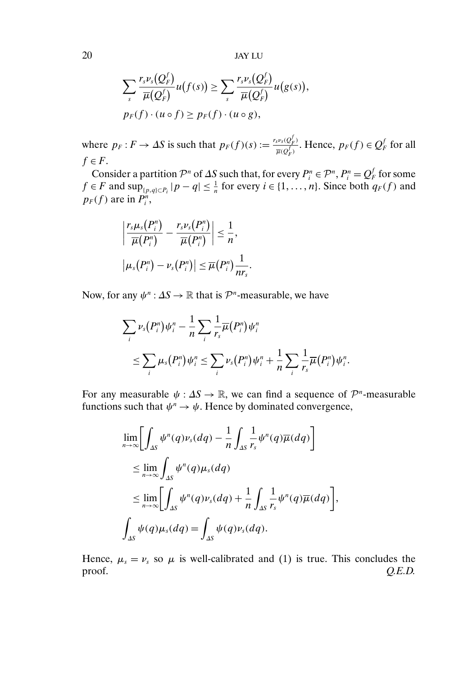20 JAY LU

$$
\sum_{s} \frac{r_s \nu_s(Q_F^f)}{\overline{\mu}(Q_F^f)} u(f(s)) \geq \sum_{s} \frac{r_s \nu_s(Q_F^f)}{\overline{\mu}(Q_F^f)} u(g(s)),
$$
  

$$
p_F(f) \cdot (u \circ f) \geq p_F(f) \cdot (u \circ g),
$$

where  $p_F: F \to \Delta S$  is such that  $p_F(f)(s) := \frac{r_s v_s(Q_F^f)}{\pi \sqrt{S}}$  $\frac{\partial^{\nu_s}(Q_F^f)}{\overline{\mu}(Q_F^f)}$ . Hence,  $p_F(f) \in Q_F^f$  for all  $f \in F$ .

Consider a partition  $\mathcal{P}^n$  of  $\Delta S$  such that, for every  $P_i^n \in \mathcal{P}^n$ ,  $P_i^n = Q_F^f$  for some  $f \in F$  and  $\sup_{\{p,q\} \subset P_i} |p-q| \leq \frac{1}{n}$  for every  $i \in \{1, ..., n\}$ . Since both  $q_F(f)$  and  $p_F(f)$  are in  $P_i^n$ ,

$$
\left|\frac{r_s\mu_s(P_i^n)}{\overline{\mu}(P_i^n)}-\frac{r_s\nu_s(P_i^n)}{\overline{\mu}(P_i^n)}\right|\leq \frac{1}{n},
$$
  

$$
|\mu_s(P_i^n)-\nu_s(P_i^n)|\leq \overline{\mu}(P_i^n)\frac{1}{n r_s}.
$$

Now, for any  $\psi^n : \Delta S \to \mathbb{R}$  that is  $\mathcal{P}^n$ -measurable, we have

$$
\sum_{i} \nu_s(P_i^n) \psi_i^n - \frac{1}{n} \sum_{i} \frac{1}{r_s} \overline{\mu}(P_i^n) \psi_i^n
$$
\n
$$
\leq \sum_{i} \mu_s(P_i^n) \psi_i^n \leq \sum_{i} \nu_s(P_i^n) \psi_i^n + \frac{1}{n} \sum_{i} \frac{1}{r_s} \overline{\mu}(P_i^n) \psi_i^n.
$$

For any measurable  $\psi : \Delta S \to \mathbb{R}$ , we can find a sequence of  $\mathcal{P}^n$ -measurable functions such that  $\psi^n \to \psi$ . Hence by dominated convergence,

$$
\lim_{n\to\infty}\left[\int_{\Delta S}\psi^n(q)\nu_s(dq) - \frac{1}{n}\int_{\Delta S}\frac{1}{r_s}\psi^n(q)\overline{\mu}(dq)\right]
$$
\n
$$
\leq \lim_{n\to\infty}\int_{\Delta S}\psi^n(q)\mu_s(dq)
$$
\n
$$
\leq \lim_{n\to\infty}\left[\int_{\Delta S}\psi^n(q)\nu_s(dq) + \frac{1}{n}\int_{\Delta S}\frac{1}{r_s}\psi^n(q)\overline{\mu}(dq)\right],
$$
\n
$$
\int_{\Delta S}\psi(q)\mu_s(dq) = \int_{\Delta S}\psi(q)\nu_s(dq).
$$

Hence,  $\mu_s = \nu_s$  so  $\mu$  is well-calibrated and (1) is true. This concludes the proof. *Q.E.D.*